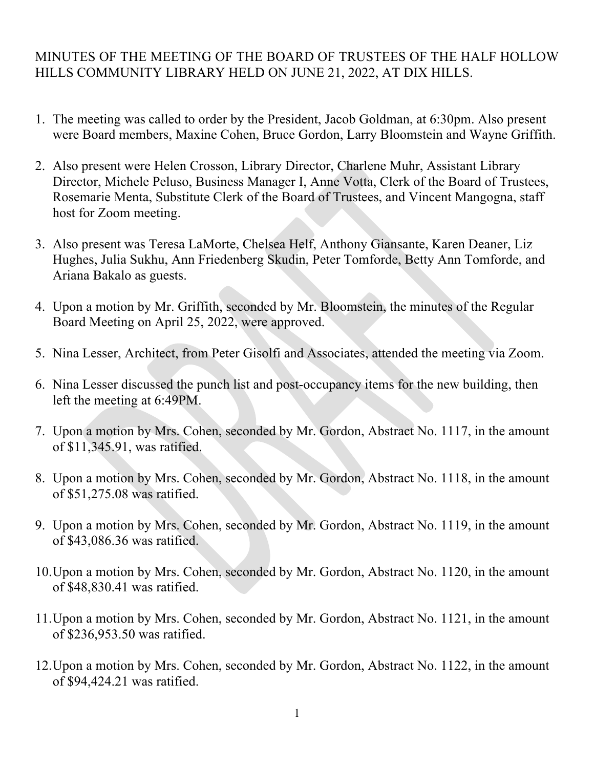## MINUTES OF THE MEETING OF THE BOARD OF TRUSTEES OF THE HALF HOLLOW HILLS COMMUNITY LIBRARY HELD ON JUNE 21, 2022, AT DIX HILLS.

- 1. The meeting was called to order by the President, Jacob Goldman, at 6:30pm. Also present were Board members, Maxine Cohen, Bruce Gordon, Larry Bloomstein and Wayne Griffith.
- 2. Also present were Helen Crosson, Library Director, Charlene Muhr, Assistant Library Director, Michele Peluso, Business Manager I, Anne Votta, Clerk of the Board of Trustees, Rosemarie Menta, Substitute Clerk of the Board of Trustees, and Vincent Mangogna, staff host for Zoom meeting.
- 3. Also present was Teresa LaMorte, Chelsea Helf, Anthony Giansante, Karen Deaner, Liz Hughes, Julia Sukhu, Ann Friedenberg Skudin, Peter Tomforde, Betty Ann Tomforde, and Ariana Bakalo as guests.
- 4. Upon a motion by Mr. Griffith, seconded by Mr. Bloomstein, the minutes of the Regular Board Meeting on April 25, 2022, were approved.
- 5. Nina Lesser, Architect, from Peter Gisolfi and Associates, attended the meeting via Zoom.
- 6. Nina Lesser discussed the punch list and post-occupancy items for the new building, then left the meeting at 6:49PM.
- 7. Upon a motion by Mrs. Cohen, seconded by Mr. Gordon, Abstract No. 1117, in the amount of \$11,345.91, was ratified.
- 8. Upon a motion by Mrs. Cohen, seconded by Mr. Gordon, Abstract No. 1118, in the amount of \$51,275.08 was ratified.
- 9. Upon a motion by Mrs. Cohen, seconded by Mr. Gordon, Abstract No. 1119, in the amount of \$43,086.36 was ratified.
- 10.Upon a motion by Mrs. Cohen, seconded by Mr. Gordon, Abstract No. 1120, in the amount of \$48,830.41 was ratified.
- 11.Upon a motion by Mrs. Cohen, seconded by Mr. Gordon, Abstract No. 1121, in the amount of \$236,953.50 was ratified.
- 12.Upon a motion by Mrs. Cohen, seconded by Mr. Gordon, Abstract No. 1122, in the amount of \$94,424.21 was ratified.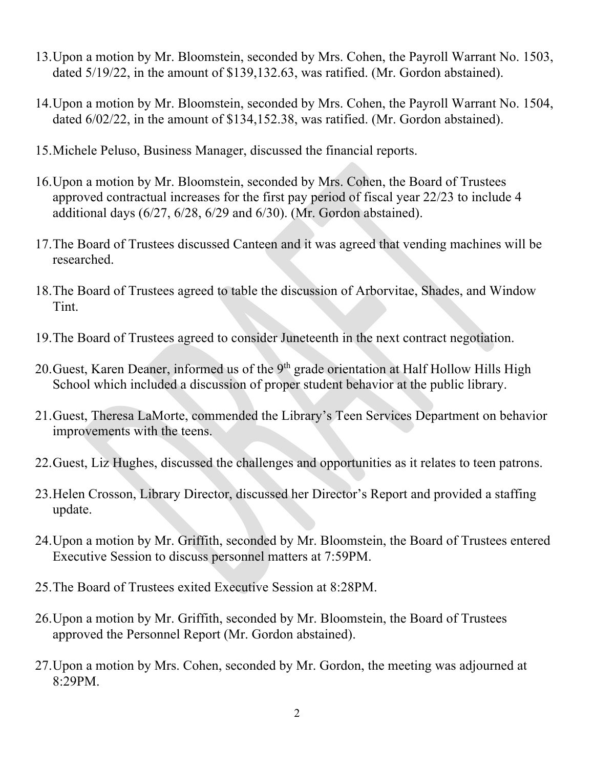- 13.Upon a motion by Mr. Bloomstein, seconded by Mrs. Cohen, the Payroll Warrant No. 1503, dated 5/19/22, in the amount of \$139,132.63, was ratified. (Mr. Gordon abstained).
- 14.Upon a motion by Mr. Bloomstein, seconded by Mrs. Cohen, the Payroll Warrant No. 1504, dated 6/02/22, in the amount of \$134,152.38, was ratified. (Mr. Gordon abstained).
- 15.Michele Peluso, Business Manager, discussed the financial reports.
- 16.Upon a motion by Mr. Bloomstein, seconded by Mrs. Cohen, the Board of Trustees approved contractual increases for the first pay period of fiscal year 22/23 to include 4 additional days (6/27, 6/28, 6/29 and 6/30). (Mr. Gordon abstained).
- 17.The Board of Trustees discussed Canteen and it was agreed that vending machines will be researched.
- 18.The Board of Trustees agreed to table the discussion of Arborvitae, Shades, and Window Tint.
- 19.The Board of Trustees agreed to consider Juneteenth in the next contract negotiation.
- 20. Guest, Karen Deaner, informed us of the  $9<sup>th</sup>$  grade orientation at Half Hollow Hills High School which included a discussion of proper student behavior at the public library.
- 21.Guest, Theresa LaMorte, commended the Library's Teen Services Department on behavior improvements with the teens.
- 22.Guest, Liz Hughes, discussed the challenges and opportunities as it relates to teen patrons.
- 23.Helen Crosson, Library Director, discussed her Director's Report and provided a staffing update.
- 24.Upon a motion by Mr. Griffith, seconded by Mr. Bloomstein, the Board of Trustees entered Executive Session to discuss personnel matters at 7:59PM.
- 25.The Board of Trustees exited Executive Session at 8:28PM.
- 26.Upon a motion by Mr. Griffith, seconded by Mr. Bloomstein, the Board of Trustees approved the Personnel Report (Mr. Gordon abstained).
- 27.Upon a motion by Mrs. Cohen, seconded by Mr. Gordon, the meeting was adjourned at 8:29PM.